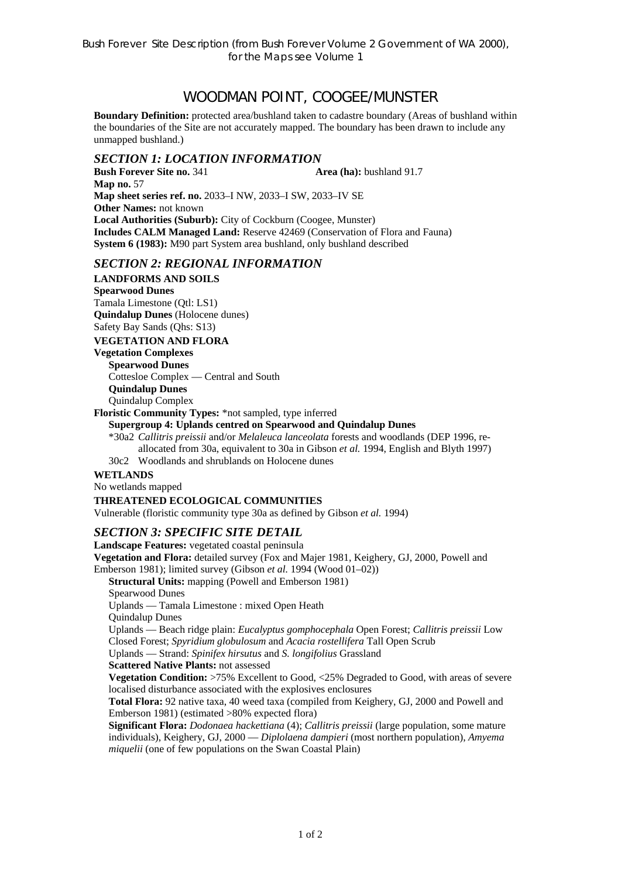# WOODMAN POINT, COOGEE/MUNSTER

**Boundary Definition:** protected area/bushland taken to cadastre boundary (Areas of bushland within the boundaries of the Site are not accurately mapped. The boundary has been drawn to include any unmapped bushland.)

## *SECTION 1: LOCATION INFORMATION*

**Bush Forever Site no. 341 Area (ha):** bushland 91.7 **Map no.** 57 **Map sheet series ref. no.** 2033–I NW, 2033–I SW, 2033–IV SE **Other Names: not known Local Authorities (Suburb):** City of Cockburn (Coogee, Munster) **Includes CALM Managed Land:** Reserve 42469 (Conservation of Flora and Fauna) **System 6 (1983):** M90 part System area bushland, only bushland described

## *SECTION 2: REGIONAL INFORMATION*

**LANDFORMS AND SOILS Spearwood Dunes**  Tamala Limestone (Qtl: LS1) **Quindalup Dunes** (Holocene dunes) Safety Bay Sands (Qhs: S13)

#### **VEGETATION AND FLORA**

**Vegetation Complexes** 

**Spearwood Dunes** 

Cottesloe Complex — Central and South

**Quindalup Dunes** 

Quindalup Complex

**Floristic Community Types:** \*not sampled, type inferred

#### **Supergroup 4: Uplands centred on Spearwood and Quindalup Dunes**

\*30a2 *Callitris preissii* and/or *Melaleuca lanceolata* forests and woodlands (DEP 1996, reallocated from 30a, equivalent to 30a in Gibson *et al.* 1994, English and Blyth 1997)

30c2 Woodlands and shrublands on Holocene dunes

## **WETLANDS**

No wetlands mapped

## **THREATENED ECOLOGICAL COMMUNITIES**

Vulnerable (floristic community type 30a as defined by Gibson *et al.* 1994)

## *SECTION 3: SPECIFIC SITE DETAIL*

**Landscape Features:** vegetated coastal peninsula **Vegetation and Flora:** detailed survey (Fox and Majer 1981, Keighery, GJ, 2000, Powell and Emberson 1981); limited survey (Gibson *et al.* 1994 (Wood 01–02)) **Structural Units:** mapping (Powell and Emberson 1981) Spearwood Dunes Uplands — Tamala Limestone : mixed Open Heath Quindalup Dunes Uplands — Beach ridge plain: *Eucalyptus gomphocephala* Open Forest; *Callitris preissii* Low Closed Forest; *Spyridium globulosum* and *Acacia rostellifera* Tall Open Scrub Uplands — Strand: *Spinifex hirsutus* and *S. longifolius* Grassland **Scattered Native Plants:** not assessed **Vegetation Condition:** >75% Excellent to Good, <25% Degraded to Good, with areas of severe localised disturbance associated with the explosives enclosures **Total Flora:** 92 native taxa, 40 weed taxa (compiled from Keighery, GJ, 2000 and Powell and Emberson 1981) (estimated >80% expected flora) **Significant Flora:** *Dodonaea hackettiana* (4); *Callitris preissii* (large population, some mature

individuals), Keighery, GJ, 2000 — *Diplolaena dampieri* (most northern population), *Amyema miquelii* (one of few populations on the Swan Coastal Plain)